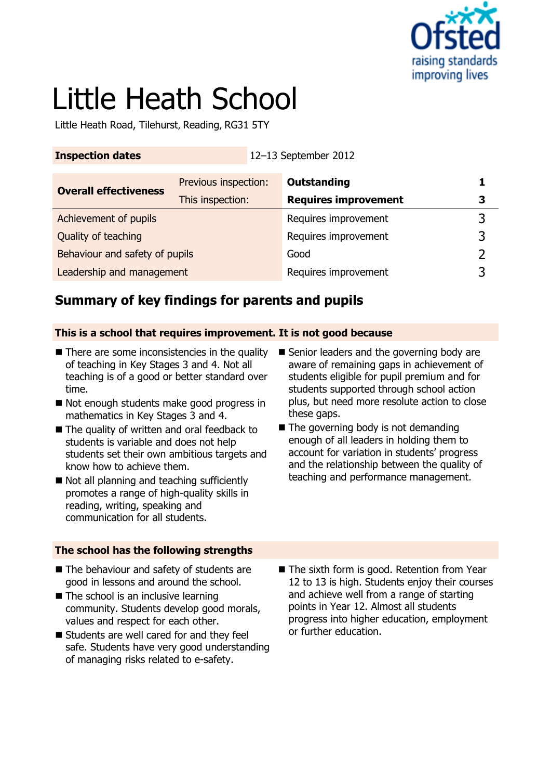

# Little Heath School

Little Heath Road, Tilehurst, Reading, RG31 5TY

**Inspection dates** 12–13 September 2012

| <b>Overall effectiveness</b>   | Previous inspection: | <b>Outstanding</b>          |   |
|--------------------------------|----------------------|-----------------------------|---|
|                                | This inspection:     | <b>Requires improvement</b> | 3 |
| Achievement of pupils          |                      | Requires improvement        |   |
| Quality of teaching            |                      | Requires improvement        |   |
| Behaviour and safety of pupils |                      | Good                        |   |
| Leadership and management      |                      | Requires improvement        |   |

# **Summary of key findings for parents and pupils**

### **This is a school that requires improvement. It is not good because**

- $\blacksquare$  There are some inconsistencies in the quality of teaching in Key Stages 3 and 4. Not all teaching is of a good or better standard over time.
- Not enough students make good progress in mathematics in Key Stages 3 and 4.
- The quality of written and oral feedback to students is variable and does not help students set their own ambitious targets and know how to achieve them.
- Not all planning and teaching sufficiently promotes a range of high-quality skills in reading, writing, speaking and communication for all students.
- Senior leaders and the governing body are aware of remaining gaps in achievement of students eligible for pupil premium and for students supported through school action plus, but need more resolute action to close these gaps.
- $\blacksquare$  The governing body is not demanding enough of all leaders in holding them to account for variation in students' progress and the relationship between the quality of teaching and performance management.

### **The school has the following strengths**

- The behaviour and safety of students are good in lessons and around the school.
- $\blacksquare$  The school is an inclusive learning community. Students develop good morals, values and respect for each other.
- Students are well cared for and they feel safe. Students have very good understanding of managing risks related to e-safety.
- The sixth form is good. Retention from Year 12 to 13 is high. Students enjoy their courses and achieve well from a range of starting points in Year 12. Almost all students progress into higher education, employment or further education.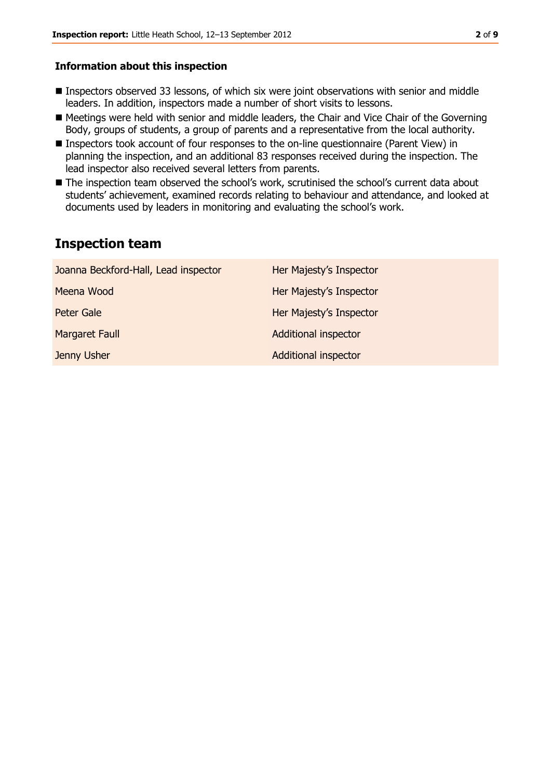#### **Information about this inspection**

- Inspectors observed 33 lessons, of which six were joint observations with senior and middle leaders. In addition, inspectors made a number of short visits to lessons.
- Meetings were held with senior and middle leaders, the Chair and Vice Chair of the Governing Body, groups of students, a group of parents and a representative from the local authority.
- Inspectors took account of four responses to the on-line questionnaire (Parent View) in planning the inspection, and an additional 83 responses received during the inspection. The lead inspector also received several letters from parents.
- The inspection team observed the school's work, scrutinised the school's current data about students' achievement, examined records relating to behaviour and attendance, and looked at documents used by leaders in monitoring and evaluating the school's work.

## **Inspection team**

| Joanna Beckford-Hall, Lead inspector | Her Majesty's Inspector     |
|--------------------------------------|-----------------------------|
| Meena Wood                           | Her Majesty's Inspector     |
| <b>Peter Gale</b>                    | Her Majesty's Inspector     |
| <b>Margaret Faull</b>                | <b>Additional inspector</b> |
| Jenny Usher                          | <b>Additional inspector</b> |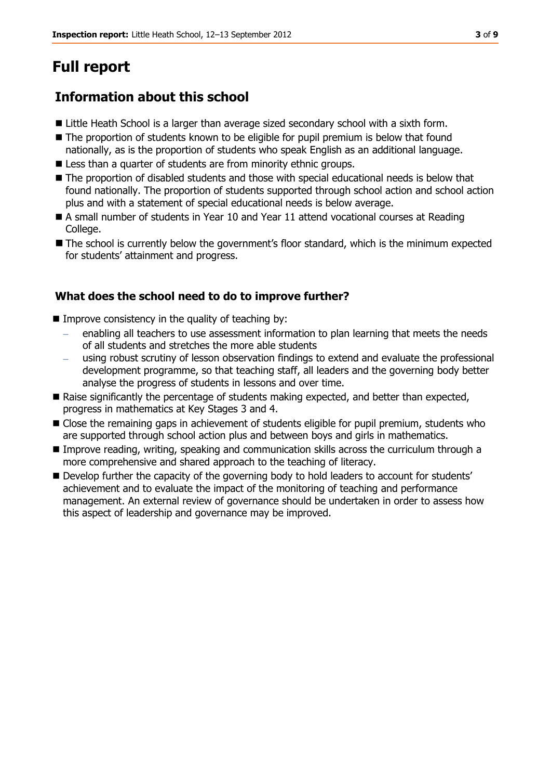# **Full report**

# **Information about this school**

- Little Heath School is a larger than average sized secondary school with a sixth form.
- The proportion of students known to be eligible for pupil premium is below that found nationally, as is the proportion of students who speak English as an additional language.
- **EXTERG** Less than a quarter of students are from minority ethnic groups.
- The proportion of disabled students and those with special educational needs is below that found nationally. The proportion of students supported through school action and school action plus and with a statement of special educational needs is below average.
- A small number of students in Year 10 and Year 11 attend vocational courses at Reading College.
- The school is currently below the government's floor standard, which is the minimum expected for students' attainment and progress.

### **What does the school need to do to improve further?**

- $\blacksquare$  Improve consistency in the quality of teaching by:
	- enabling all teachers to use assessment information to plan learning that meets the needs of all students and stretches the more able students
	- using robust scrutiny of lesson observation findings to extend and evaluate the professional development programme, so that teaching staff, all leaders and the governing body better analyse the progress of students in lessons and over time.
- Raise significantly the percentage of students making expected, and better than expected, progress in mathematics at Key Stages 3 and 4.
- **E** Close the remaining gaps in achievement of students eligible for pupil premium, students who are supported through school action plus and between boys and girls in mathematics.
- Improve reading, writing, speaking and communication skills across the curriculum through a more comprehensive and shared approach to the teaching of literacy.
- Develop further the capacity of the governing body to hold leaders to account for students' achievement and to evaluate the impact of the monitoring of teaching and performance management. An external review of governance should be undertaken in order to assess how this aspect of leadership and governance may be improved.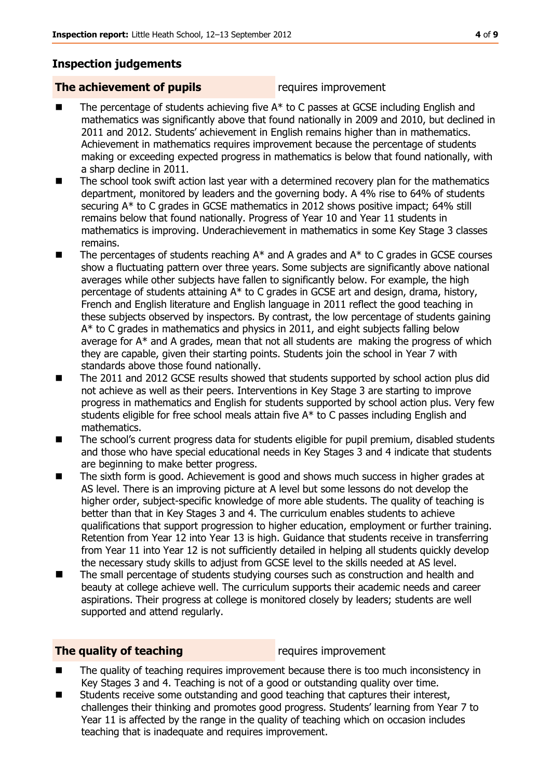## **Inspection judgements**

#### **The achievement of pupils** requires improvement

- The percentage of students achieving five A\* to C passes at GCSE including English and mathematics was significantly above that found nationally in 2009 and 2010, but declined in 2011 and 2012. Students' achievement in English remains higher than in mathematics. Achievement in mathematics requires improvement because the percentage of students making or exceeding expected progress in mathematics is below that found nationally, with a sharp decline in 2011.
- The school took swift action last year with a determined recovery plan for the mathematics department, monitored by leaders and the governing body. A 4% rise to 64% of students securing A\* to C grades in GCSE mathematics in 2012 shows positive impact; 64% still remains below that found nationally. Progress of Year 10 and Year 11 students in mathematics is improving. Underachievement in mathematics in some Key Stage 3 classes remains.
- $\blacksquare$  The percentages of students reaching  $A^*$  and A grades and  $A^*$  to C grades in GCSE courses show a fluctuating pattern over three years. Some subjects are significantly above national averages while other subjects have fallen to significantly below. For example, the high percentage of students attaining A\* to C grades in GCSE art and design, drama, history, French and English literature and English language in 2011 reflect the good teaching in these subjects observed by inspectors. By contrast, the low percentage of students gaining A\* to C grades in mathematics and physics in 2011, and eight subjects falling below average for A\* and A grades, mean that not all students are making the progress of which they are capable, given their starting points. Students join the school in Year 7 with standards above those found nationally.
- The 2011 and 2012 GCSE results showed that students supported by school action plus did not achieve as well as their peers. Interventions in Key Stage 3 are starting to improve progress in mathematics and English for students supported by school action plus. Very few students eligible for free school meals attain five A\* to C passes including English and mathematics.
- The school's current progress data for students eligible for pupil premium, disabled students and those who have special educational needs in Key Stages 3 and 4 indicate that students are beginning to make better progress.
- The sixth form is good. Achievement is good and shows much success in higher grades at AS level. There is an improving picture at A level but some lessons do not develop the higher order, subject-specific knowledge of more able students. The quality of teaching is better than that in Key Stages 3 and 4. The curriculum enables students to achieve qualifications that support progression to higher education, employment or further training. Retention from Year 12 into Year 13 is high. Guidance that students receive in transferring from Year 11 into Year 12 is not sufficiently detailed in helping all students quickly develop the necessary study skills to adjust from GCSE level to the skills needed at AS level.
- The small percentage of students studying courses such as construction and health and beauty at college achieve well. The curriculum supports their academic needs and career aspirations. Their progress at college is monitored closely by leaders; students are well supported and attend regularly.

#### **The quality of teaching requires improvement**

- The quality of teaching requires improvement because there is too much inconsistency in Key Stages 3 and 4. Teaching is not of a good or outstanding quality over time.
- Students receive some outstanding and good teaching that captures their interest, challenges their thinking and promotes good progress. Students' learning from Year 7 to Year 11 is affected by the range in the quality of teaching which on occasion includes teaching that is inadequate and requires improvement.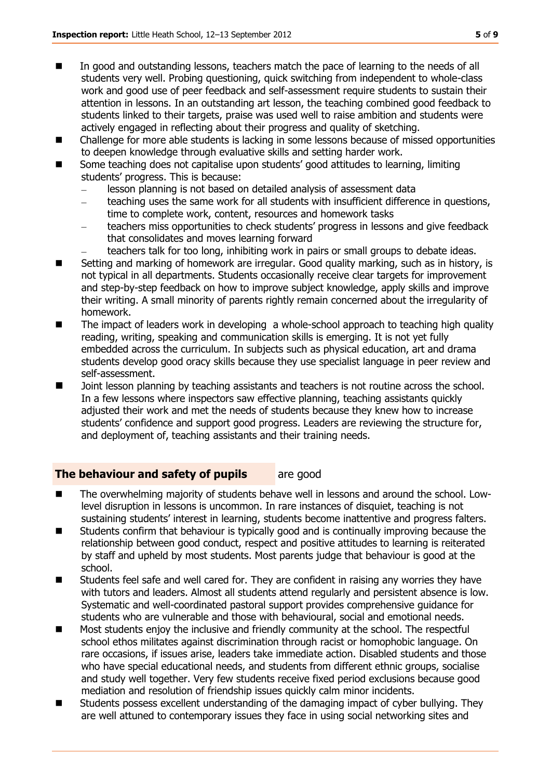- In good and outstanding lessons, teachers match the pace of learning to the needs of all students very well. Probing questioning, quick switching from independent to whole-class work and good use of peer feedback and self-assessment require students to sustain their attention in lessons. In an outstanding art lesson, the teaching combined good feedback to students linked to their targets, praise was used well to raise ambition and students were actively engaged in reflecting about their progress and quality of sketching.
- Challenge for more able students is lacking in some lessons because of missed opportunities to deepen knowledge through evaluative skills and setting harder work.
- Some teaching does not capitalise upon students' good attitudes to learning, limiting students' progress. This is because:
	- lesson planning is not based on detailed analysis of assessment data  $\equiv$
	- $\equiv$ teaching uses the same work for all students with insufficient difference in questions, time to complete work, content, resources and homework tasks
	- teachers miss opportunities to check students' progress in lessons and give feedback that consolidates and moves learning forward
	- teachers talk for too long, inhibiting work in pairs or small groups to debate ideas.
- Setting and marking of homework are irregular. Good quality marking, such as in history, is not typical in all departments. Students occasionally receive clear targets for improvement and step-by-step feedback on how to improve subject knowledge, apply skills and improve their writing. A small minority of parents rightly remain concerned about the irregularity of homework.
- The impact of leaders work in developing a whole-school approach to teaching high quality reading, writing, speaking and communication skills is emerging. It is not yet fully embedded across the curriculum. In subjects such as physical education, art and drama students develop good oracy skills because they use specialist language in peer review and self-assessment.
- Joint lesson planning by teaching assistants and teachers is not routine across the school. In a few lessons where inspectors saw effective planning, teaching assistants quickly adjusted their work and met the needs of students because they knew how to increase students' confidence and support good progress. Leaders are reviewing the structure for, and deployment of, teaching assistants and their training needs.

### **The behaviour and safety of pupils** are good

- The overwhelming majority of students behave well in lessons and around the school. Lowlevel disruption in lessons is uncommon. In rare instances of disquiet, teaching is not sustaining students' interest in learning, students become inattentive and progress falters.
- Students confirm that behaviour is typically good and is continually improving because the relationship between good conduct, respect and positive attitudes to learning is reiterated by staff and upheld by most students. Most parents judge that behaviour is good at the school.
- Students feel safe and well cared for. They are confident in raising any worries they have with tutors and leaders. Almost all students attend regularly and persistent absence is low. Systematic and well-coordinated pastoral support provides comprehensive guidance for students who are vulnerable and those with behavioural, social and emotional needs.
- Most students enjoy the inclusive and friendly community at the school. The respectful school ethos militates against discrimination through racist or homophobic language. On rare occasions, if issues arise, leaders take immediate action. Disabled students and those who have special educational needs, and students from different ethnic groups, socialise and study well together. Very few students receive fixed period exclusions because good mediation and resolution of friendship issues quickly calm minor incidents.
- Students possess excellent understanding of the damaging impact of cyber bullying. They are well attuned to contemporary issues they face in using social networking sites and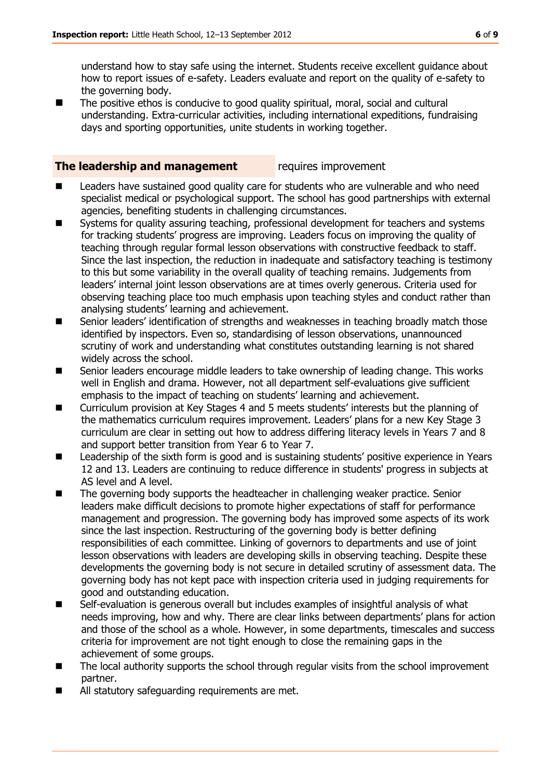understand how to stay safe using the internet. Students receive excellent guidance about how to report issues of e-safety. Leaders evaluate and report on the quality of e-safety to the governing body.

■ The positive ethos is conducive to good quality spiritual, moral, social and cultural understanding. Extra-curricular activities, including international expeditions, fundraising days and sporting opportunities, unite students in working together.

#### **The leadership and management** requires improvement

- Leaders have sustained good quality care for students who are vulnerable and who need specialist medical or psychological support. The school has good partnerships with external agencies, benefiting students in challenging circumstances.
- Systems for quality assuring teaching, professional development for teachers and systems for tracking students' progress are improving. Leaders focus on improving the quality of teaching through regular formal lesson observations with constructive feedback to staff. Since the last inspection, the reduction in inadequate and satisfactory teaching is testimony to this but some variability in the overall quality of teaching remains. Judgements from leaders' internal joint lesson observations are at times overly generous. Criteria used for observing teaching place too much emphasis upon teaching styles and conduct rather than analysing students' learning and achievement.
- Senior leaders' identification of strengths and weaknesses in teaching broadly match those identified by inspectors. Even so, standardising of lesson observations, unannounced scrutiny of work and understanding what constitutes outstanding learning is not shared widely across the school.
- Senior leaders encourage middle leaders to take ownership of leading change. This works well in English and drama. However, not all department self-evaluations give sufficient emphasis to the impact of teaching on students' learning and achievement.
- Curriculum provision at Key Stages 4 and 5 meets students' interests but the planning of the mathematics curriculum requires improvement. Leaders' plans for a new Key Stage 3 curriculum are clear in setting out how to address differing literacy levels in Years 7 and 8 and support better transition from Year 6 to Year 7.
- **Leadership of the sixth form is good and is sustaining students' positive experience in Years** 12 and 13. Leaders are continuing to reduce difference in students' progress in subjects at AS level and A level.
- The governing body supports the headteacher in challenging weaker practice. Senior leaders make difficult decisions to promote higher expectations of staff for performance management and progression. The governing body has improved some aspects of its work since the last inspection. Restructuring of the governing body is better defining responsibilities of each committee. Linking of governors to departments and use of joint lesson observations with leaders are developing skills in observing teaching. Despite these developments the governing body is not secure in detailed scrutiny of assessment data. The governing body has not kept pace with inspection criteria used in judging requirements for good and outstanding education.
- Self-evaluation is generous overall but includes examples of insightful analysis of what needs improving, how and why. There are clear links between departments' plans for action and those of the school as a whole. However, in some departments, timescales and success criteria for improvement are not tight enough to close the remaining gaps in the achievement of some groups.
- The local authority supports the school through regular visits from the school improvement partner.
- All statutory safeguarding requirements are met.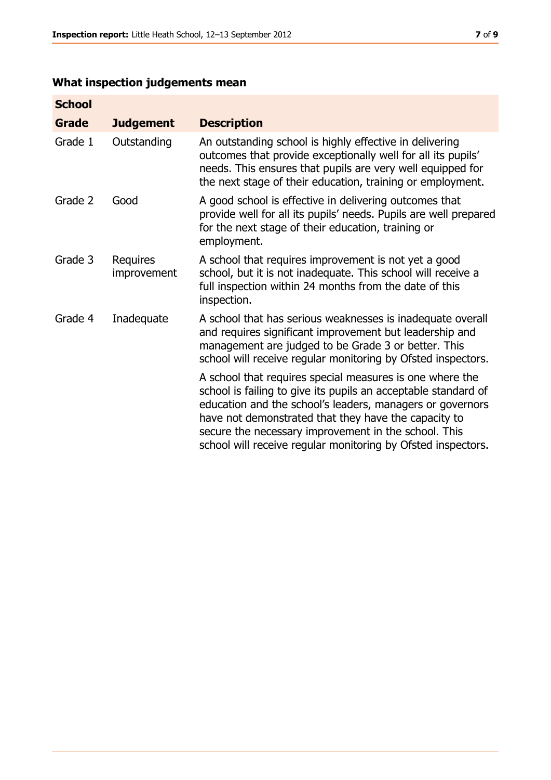# **What inspection judgements mean**

| <b>School</b> |                         |                                                                                                                                                                                                                                                                                                                                                                         |
|---------------|-------------------------|-------------------------------------------------------------------------------------------------------------------------------------------------------------------------------------------------------------------------------------------------------------------------------------------------------------------------------------------------------------------------|
| <b>Grade</b>  | <b>Judgement</b>        | <b>Description</b>                                                                                                                                                                                                                                                                                                                                                      |
| Grade 1       | Outstanding             | An outstanding school is highly effective in delivering<br>outcomes that provide exceptionally well for all its pupils'<br>needs. This ensures that pupils are very well equipped for<br>the next stage of their education, training or employment.                                                                                                                     |
| Grade 2       | Good                    | A good school is effective in delivering outcomes that<br>provide well for all its pupils' needs. Pupils are well prepared<br>for the next stage of their education, training or<br>employment.                                                                                                                                                                         |
| Grade 3       | Requires<br>improvement | A school that requires improvement is not yet a good<br>school, but it is not inadequate. This school will receive a<br>full inspection within 24 months from the date of this<br>inspection.                                                                                                                                                                           |
| Grade 4       | Inadequate              | A school that has serious weaknesses is inadequate overall<br>and requires significant improvement but leadership and<br>management are judged to be Grade 3 or better. This<br>school will receive regular monitoring by Ofsted inspectors.                                                                                                                            |
|               |                         | A school that requires special measures is one where the<br>school is failing to give its pupils an acceptable standard of<br>education and the school's leaders, managers or governors<br>have not demonstrated that they have the capacity to<br>secure the necessary improvement in the school. This<br>school will receive regular monitoring by Ofsted inspectors. |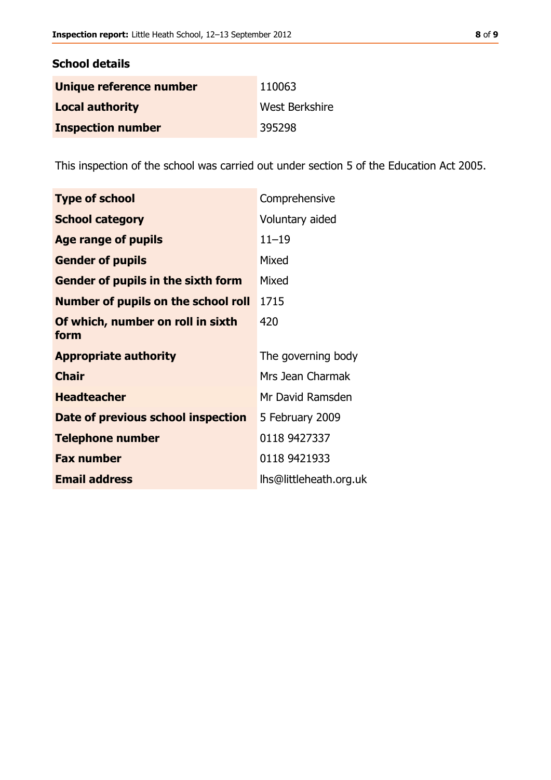| <b>School details</b>    |                |
|--------------------------|----------------|
| Unique reference number  | 110063         |
| <b>Local authority</b>   | West Berkshire |
| <b>Inspection number</b> | 395298         |

This inspection of the school was carried out under section 5 of the Education Act 2005.

| <b>Type of school</b>                     | Comprehensive          |
|-------------------------------------------|------------------------|
| <b>School category</b>                    | Voluntary aided        |
| <b>Age range of pupils</b>                | $11 - 19$              |
| <b>Gender of pupils</b>                   | Mixed                  |
| <b>Gender of pupils in the sixth form</b> | Mixed                  |
| Number of pupils on the school roll       | 1715                   |
| Of which, number on roll in sixth<br>form | 420                    |
| <b>Appropriate authority</b>              | The governing body     |
| <b>Chair</b>                              | Mrs Jean Charmak       |
| <b>Headteacher</b>                        | Mr David Ramsden       |
| Date of previous school inspection        | 5 February 2009        |
| <b>Telephone number</b>                   | 0118 9427337           |
| <b>Fax number</b>                         | 0118 9421933           |
| <b>Email address</b>                      | lhs@littleheath.org.uk |